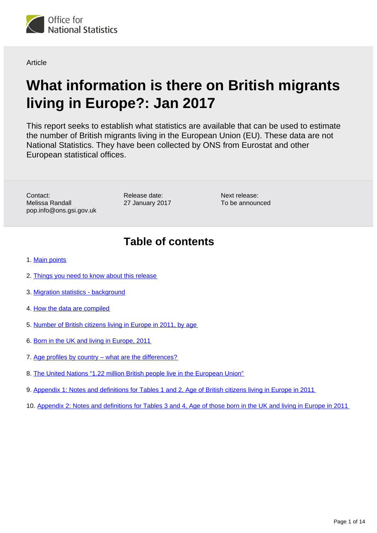

**Article** 

# **What information is there on British migrants living in Europe?: Jan 2017**

This report seeks to establish what statistics are available that can be used to estimate the number of British migrants living in the European Union (EU). These data are not National Statistics. They have been collected by ONS from Eurostat and other European statistical offices.

Contact: Melissa Randall pop.info@ons.gsi.gov.uk

Release date: 27 January 2017

Next release: To be announced

# **Table of contents**

- 1. [Main points](#page-1-0)
- 2. [Things you need to know about this release](#page-1-1)
- 3. [Migration statistics background](#page-1-2)
- 4. [How the data are compiled](#page-2-0)
- 5. [Number of British citizens living in Europe in 2011, by age](#page-3-0)
- 6. [Born in the UK and living in Europe, 2011](#page-5-0)
- 7. [Age profiles by country what are the differences?](#page-8-0)
- 8. [The United Nations "1.22 million British people live in the European Union"](#page-10-0)
- 9. Appendix 1: Notes and definitions for Tables 1 and 2, Age of British citizens living in Europe in 2011
- 10. Appendix 2: Notes and definitions for Tables 3 and 4, Age of those born in the UK and living in Europe in 2011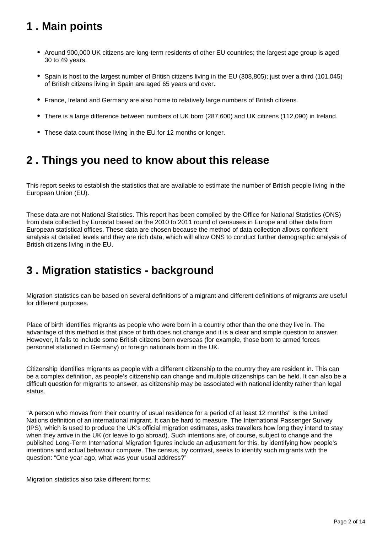# <span id="page-1-0"></span>**1 . Main points**

- Around 900,000 UK citizens are long-term residents of other EU countries; the largest age group is aged 30 to 49 years.
- Spain is host to the largest number of British citizens living in the EU (308,805); just over a third (101,045) of British citizens living in Spain are aged 65 years and over.
- France, Ireland and Germany are also home to relatively large numbers of British citizens.
- There is a large difference between numbers of UK born (287,600) and UK citizens (112,090) in Ireland.
- These data count those living in the EU for 12 months or longer.

### <span id="page-1-1"></span>**2 . Things you need to know about this release**

This report seeks to establish the statistics that are available to estimate the number of British people living in the European Union (EU).

These data are not National Statistics. This report has been compiled by the Office for National Statistics (ONS) from data collected by Eurostat based on the 2010 to 2011 round of censuses in Europe and other data from European statistical offices. These data are chosen because the method of data collection allows confident analysis at detailed levels and they are rich data, which will allow ONS to conduct further demographic analysis of British citizens living in the EU.

### <span id="page-1-2"></span>**3 . Migration statistics - background**

Migration statistics can be based on several definitions of a migrant and different definitions of migrants are useful for different purposes.

Place of birth identifies migrants as people who were born in a country other than the one they live in. The advantage of this method is that place of birth does not change and it is a clear and simple question to answer. However, it fails to include some British citizens born overseas (for example, those born to armed forces personnel stationed in Germany) or foreign nationals born in the UK.

Citizenship identifies migrants as people with a different citizenship to the country they are resident in. This can be a complex definition, as people's citizenship can change and multiple citizenships can be held. It can also be a difficult question for migrants to answer, as citizenship may be associated with national identity rather than legal status.

"A person who moves from their country of usual residence for a period of at least 12 months" is the United Nations definition of an international migrant. It can be hard to measure. The International Passenger Survey (IPS), which is used to produce the UK's official migration estimates, asks travellers how long they intend to stay when they arrive in the UK (or leave to go abroad). Such intentions are, of course, subject to change and the published Long-Term International Migration figures include an adjustment for this, by identifying how people's intentions and actual behaviour compare. The census, by contrast, seeks to identify such migrants with the question: "One year ago, what was your usual address?"

Migration statistics also take different forms: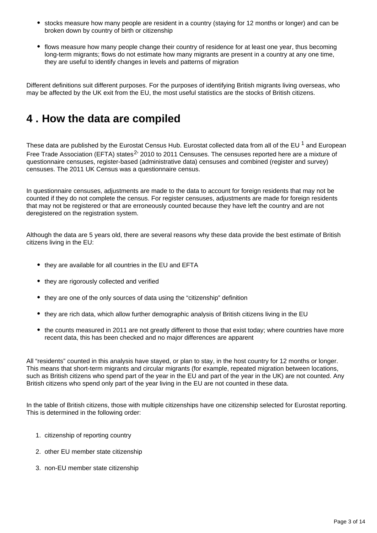- stocks measure how many people are resident in a country (staying for 12 months or longer) and can be broken down by country of birth or citizenship
- flows measure how many people change their country of residence for at least one year, thus becoming long-term migrants; flows do not estimate how many migrants are present in a country at any one time, they are useful to identify changes in levels and patterns of migration

Different definitions suit different purposes. For the purposes of identifying British migrants living overseas, who may be affected by the UK exit from the EU, the most useful statistics are the stocks of British citizens.

### <span id="page-2-0"></span>**4 . How the data are compiled**

These data are published by the Eurostat Census Hub. Eurostat collected data from all of the EU  $^1$  and European Free Trade Association (EFTA) states<sup>2</sup> 2010 to 2011 Censuses. The censuses reported here are a mixture of questionnaire censuses, register-based (administrative data) censuses and combined (register and survey) censuses. The 2011 UK Census was a questionnaire census.

In questionnaire censuses, adjustments are made to the data to account for foreign residents that may not be counted if they do not complete the census. For register censuses, adjustments are made for foreign residents that may not be registered or that are erroneously counted because they have left the country and are not deregistered on the registration system.

Although the data are 5 years old, there are several reasons why these data provide the best estimate of British citizens living in the EU:

- they are available for all countries in the EU and EFTA
- they are rigorously collected and verified
- they are one of the only sources of data using the "citizenship" definition
- they are rich data, which allow further demographic analysis of British citizens living in the EU
- the counts measured in 2011 are not greatly different to those that exist today; where countries have more recent data, this has been checked and no major differences are apparent

All "residents" counted in this analysis have stayed, or plan to stay, in the host country for 12 months or longer. This means that short-term migrants and circular migrants (for example, repeated migration between locations, such as British citizens who spend part of the year in the EU and part of the year in the UK) are not counted. Any British citizens who spend only part of the year living in the EU are not counted in these data.

In the table of British citizens, those with multiple citizenships have one citizenship selected for Eurostat reporting. This is determined in the following order:

- 1. citizenship of reporting country
- 2. other EU member state citizenship
- 3. non-EU member state citizenship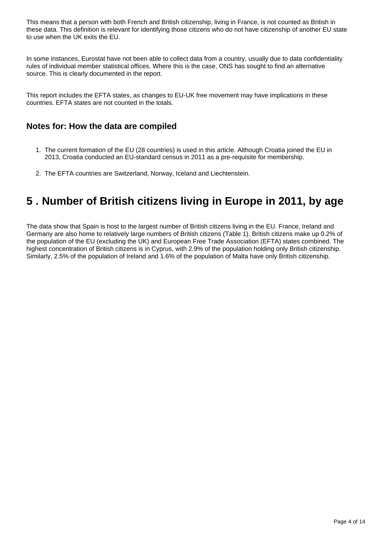This means that a person with both French and British citizenship, living in France, is not counted as British in these data. This definition is relevant for identifying those citizens who do not have citizenship of another EU state to use when the UK exits the EU.

In some instances, Eurostat have not been able to collect data from a country, usually due to data confidentiality rules of individual member statistical offices. Where this is the case, ONS has sought to find an alternative source. This is clearly documented in the report.

This report includes the EFTA states, as changes to EU-UK free movement may have implications in these countries. EFTA states are not counted in the totals.

### **Notes for: How the data are compiled**

- 1. The current formation of the EU (28 countries) is used in this article. Although Croatia joined the EU in 2013, Croatia conducted an EU-standard census in 2011 as a pre-requisite for membership.
- 2. The EFTA countries are Switzerland, Norway, Iceland and Liechtenstein.

### <span id="page-3-0"></span>**5 . Number of British citizens living in Europe in 2011, by age**

The data show that Spain is host to the largest number of British citizens living in the EU. France, Ireland and Germany are also home to relatively large numbers of British citizens (Table 1). British citizens make up 0.2% of the population of the EU (excluding the UK) and European Free Trade Association (EFTA) states combined. The highest concentration of British citizens is in Cyprus, with 2.9% of the population holding only British citizenship. Similarly, 2.5% of the population of Ireland and 1.6% of the population of Malta have only British citizenship.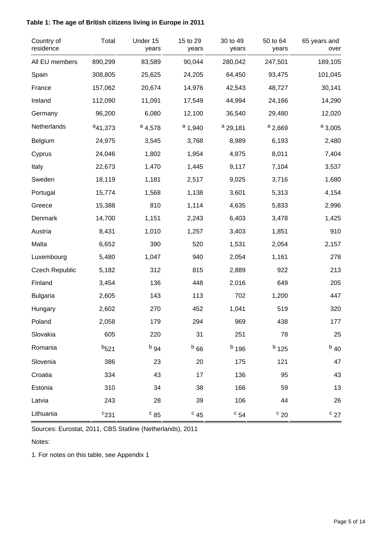### **Table 1: The age of British citizens living in Europe in 2011**

| Country of<br>residence | Total        | Under 15<br>years | 15 to 29<br>years | 30 to 49<br>years | 50 to 64<br>years | 65 years and<br>over |
|-------------------------|--------------|-------------------|-------------------|-------------------|-------------------|----------------------|
| All EU members          | 890,299      | 83,589            | 90,044            | 280,042           | 247,501           | 189,105              |
| Spain                   | 308,805      | 25,625            | 24,205            | 64,450            | 93,475            | 101,045              |
| France                  | 157,062      | 20,674            | 14,976            | 42,543            | 48,727            | 30,141               |
| Ireland                 | 112,090      | 11,091            | 17,549            | 44,994            | 24,166            | 14,290               |
| Germany                 | 96,200       | 6,080             | 12,100            | 36,540            | 29,480            | 12,020               |
| Netherlands             | $a_{41,373}$ | $a_{4,578}$       | $a_{1,940}$       | $a$ 29,181        | $a_{2,669}$       | $a_{3,005}$          |
| Belgium                 | 24,975       | 3,545             | 3,768             | 8,989             | 6,193             | 2,480                |
| Cyprus                  | 24,046       | 1,802             | 1,954             | 4,875             | 8,011             | 7,404                |
| Italy                   | 22,673       | 1,470             | 1,445             | 9,117             | 7,104             | 3,537                |
| Sweden                  | 18,119       | 1,181             | 2,517             | 9,025             | 3,716             | 1,680                |
| Portugal                | 15,774       | 1,568             | 1,138             | 3,601             | 5,313             | 4,154                |
| Greece                  | 15,388       | 810               | 1,114             | 4,635             | 5,833             | 2,996                |
| Denmark                 | 14,700       | 1,151             | 2,243             | 6,403             | 3,478             | 1,425                |
| Austria                 | 8,431        | 1,010             | 1,257             | 3,403             | 1,851             | 910                  |
| Malta                   | 6,652        | 390               | 520               | 1,531             | 2,054             | 2,157                |
| Luxembourg              | 5,480        | 1,047             | 940               | 2,054             | 1,161             | 278                  |
| <b>Czech Republic</b>   | 5,182        | 312               | 815               | 2,889             | 922               | 213                  |
| Finland                 | 3,454        | 136               | 448               | 2,016             | 649               | 205                  |
| <b>Bulgaria</b>         | 2,605        | 143               | 113               | 702               | 1,200             | 447                  |
| Hungary                 | 2,602        | 270               | 452               | 1,041             | 519               | 320                  |
| Poland                  | 2,058        | 179               | 294               | 969               | 438               | 177                  |
| Slovakia                | 605          | 220               | 31                | 251               | 78                | 25                   |
| Romania                 | $b_{521}$    | $b_{94}$          | $b_{66}$          | $b$ 196           | $b$ 125           | $b$ 40               |
| Slovenia                | 386          | 23                | 20                | 175               | 121               | 47                   |
| Croatia                 | 334          | 43                | 17                | 136               | 95                | 43                   |
| Estonia                 | 310          | 34                | 38                | 166               | 59                | 13                   |
| Latvia                  | 243          | 28                | 39                | 106               | 44                | 26                   |
| Lithuania               | $c_{231}$    | $c_{85}$          | $c_{45}$          | $c_{54}$          | $\degree$ 20      | $c_{27}$             |

Sources: Eurostat, 2011, CBS Statline (Netherlands), 2011

Notes:

1. For notes on this table, see Appendix 1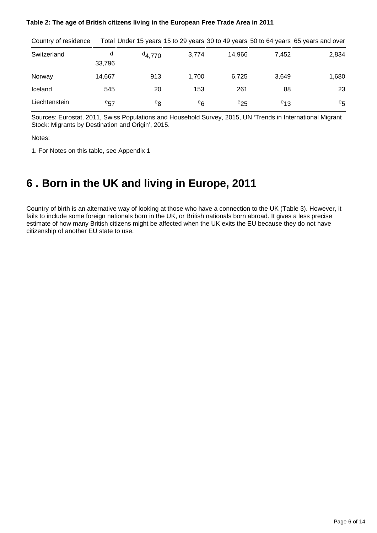#### **Table 2: The age of British citizens living in the European Free Trade Area in 2011**

| Country of residence |             |             |       |          |          | Total Under 15 years 15 to 29 years 30 to 49 years 50 to 64 years 65 years and over |
|----------------------|-------------|-------------|-------|----------|----------|-------------------------------------------------------------------------------------|
| Switzerland          | d<br>33,796 | $^{d}4,770$ | 3,774 | 14.966   | 7.452    | 2,834                                                                               |
| Norway               | 14,667      | 913         | 1.700 | 6.725    | 3,649    | 1,680                                                                               |
| Iceland              | 545         | 20          | 153   | 261      | 88       | 23                                                                                  |
| Liechtenstein        | $e_{57}$    | $e_8$       | $e_6$ | $e_{25}$ | $e_{13}$ | $e_{5}$                                                                             |

Sources: Eurostat, 2011, Swiss Populations and Household Survey, 2015, UN 'Trends in International Migrant Stock: Migrants by Destination and Origin', 2015.

Notes:

1. For Notes on this table, see Appendix 1

### <span id="page-5-0"></span>**6 . Born in the UK and living in Europe, 2011**

Country of birth is an alternative way of looking at those who have a connection to the UK (Table 3). However, it fails to include some foreign nationals born in the UK, or British nationals born abroad. It gives a less precise estimate of how many British citizens might be affected when the UK exits the EU because they do not have citizenship of another EU state to use.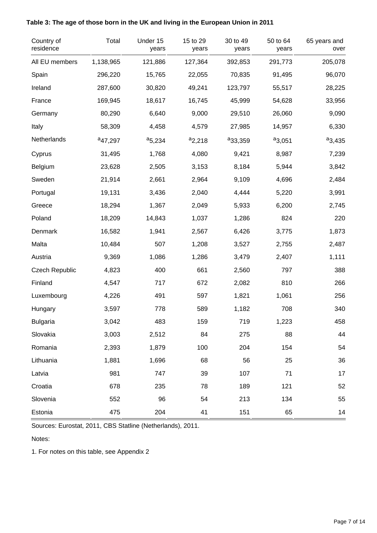| Country of<br>residence | Total               | Under 15<br>years | 15 to 29<br>years | 30 to 49<br>years   | 50 to 64<br>years | 65 years and<br>over |
|-------------------------|---------------------|-------------------|-------------------|---------------------|-------------------|----------------------|
| All EU members          | 1,138,965           | 121,886           | 127,364           | 392,853             | 291,773           | 205,078              |
| Spain                   | 296,220             | 15,765            | 22,055            | 70,835              | 91,495            | 96,070               |
| Ireland                 | 287,600             | 30,820            | 49,241            | 123,797             | 55,517            | 28,225               |
| France                  | 169,945             | 18,617            | 16,745            | 45,999              | 54,628            | 33,956               |
| Germany                 | 80,290              | 6,640             | 9,000             | 29,510              | 26,060            | 9,090                |
| Italy                   | 58,309              | 4,458             | 4,579             | 27,985              | 14,957            | 6,330                |
| Netherlands             | <sup>a</sup> 47,297 | $a_{5,234}$       | $a_{2,218}$       | <sup>a</sup> 33,359 | $a_{3,051}$       | $a_{3,435}$          |
| Cyprus                  | 31,495              | 1,768             | 4,080             | 9,421               | 8,987             | 7,239                |
| Belgium                 | 23,628              | 2,505             | 3,153             | 8,184               | 5,944             | 3,842                |
| Sweden                  | 21,914              | 2,661             | 2,964             | 9,109               | 4,696             | 2,484                |
| Portugal                | 19,131              | 3,436             | 2,040             | 4,444               | 5,220             | 3,991                |
| Greece                  | 18,294              | 1,367             | 2,049             | 5,933               | 6,200             | 2,745                |
| Poland                  | 18,209              | 14,843            | 1,037             | 1,286               | 824               | 220                  |
| Denmark                 | 16,582              | 1,941             | 2,567             | 6,426               | 3,775             | 1,873                |
| Malta                   | 10,484              | 507               | 1,208             | 3,527               | 2,755             | 2,487                |
| Austria                 | 9,369               | 1,086             | 1,286             | 3,479               | 2,407             | 1,111                |
| <b>Czech Republic</b>   | 4,823               | 400               | 661               | 2,560               | 797               | 388                  |
| Finland                 | 4,547               | 717               | 672               | 2,082               | 810               | 266                  |
| Luxembourg              | 4,226               | 491               | 597               | 1,821               | 1,061             | 256                  |
| Hungary                 | 3,597               | 778               | 589               | 1,182               | 708               | 340                  |
| <b>Bulgaria</b>         | 3,042               | 483               | 159               | 719                 | 1,223             | 458                  |
| Slovakia                | 3,003               | 2,512             | 84                | 275                 | 88                | 44                   |
| Romania                 | 2,393               | 1,879             | 100               | 204                 | 154               | 54                   |
| Lithuania               | 1,881               | 1,696             | 68                | 56                  | 25                | 36                   |
| Latvia                  | 981                 | 747               | 39                | 107                 | 71                | 17                   |
| Croatia                 | 678                 | 235               | 78                | 189                 | 121               | 52                   |
| Slovenia                | 552                 | 96                | 54                | 213                 | 134               | 55                   |
| Estonia                 | 475                 | 204               | 41                | 151                 | 65                | 14                   |

### **Table 3: The age of those born in the UK and living in the European Union in 2011**

Sources: Eurostat, 2011, CBS Statline (Netherlands), 2011.

Notes:

1. For notes on this table, see Appendix 2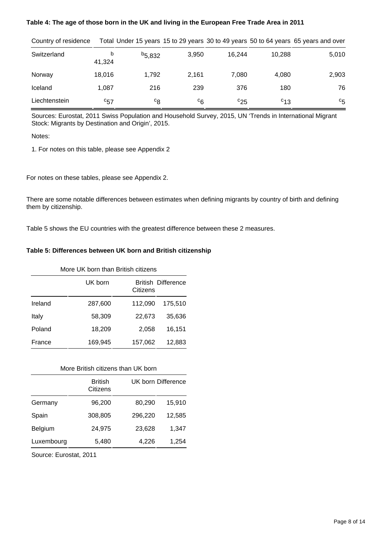#### **Table 4: The age of those born in the UK and living in the European Free Trade Area in 2011**

| Country of residence |             |                |         |          |          | Total Under 15 years 15 to 29 years 30 to 49 years 50 to 64 years 65 years and over |
|----------------------|-------------|----------------|---------|----------|----------|-------------------------------------------------------------------------------------|
| Switzerland          | b<br>41,324 | $b_{5,832}$    | 3,950   | 16.244   | 10.288   | 5,010                                                                               |
| Norway               | 18.016      | 1.792          | 2.161   | 7.080    | 4.080    | 2,903                                                                               |
| Iceland              | 1.087       | 216            | 239     | 376      | 180      | 76                                                                                  |
| Liechtenstein        | $c_{57}$    | <sup>c</sup> 8 | $c_{6}$ | $c_{25}$ | $c_{13}$ | $c_{5}$                                                                             |

Country of residence Total Under 15 years 15 to 29 years 30 to 49 years 50 to 64 years 65 years and over

Sources: Eurostat, 2011 Swiss Population and Household Survey, 2015, UN 'Trends in International Migrant Stock: Migrants by Destination and Origin', 2015.

Notes:

1. For notes on this table, please see Appendix 2

For notes on these tables, please see Appendix 2.

There are some notable differences between estimates when defining migrants by country of birth and defining them by citizenship.

Table 5 shows the EU countries with the greatest difference between these 2 measures.

#### **Table 5: Differences between UK born and British citizenship**

| More UK born than British citizens |         |                                       |         |  |  |  |
|------------------------------------|---------|---------------------------------------|---------|--|--|--|
|                                    | UK born | <b>British Difference</b><br>Citizens |         |  |  |  |
| Ireland                            | 287,600 | 112,090                               | 175,510 |  |  |  |
| Italy                              | 58,309  | 22,673                                | 35,636  |  |  |  |
| Poland                             | 18,209  | 2,058                                 | 16,151  |  |  |  |
| France                             | 169,945 | 157,062                               | 12,883  |  |  |  |

#### More British citizens than UK born

|            | <b>British</b><br>Citizens | UK born Difference |        |  |
|------------|----------------------------|--------------------|--------|--|
| Germany    | 96,200                     | 80,290             | 15,910 |  |
| Spain      | 308,805                    | 296,220            | 12,585 |  |
| Belgium    | 24,975                     | 23,628             | 1,347  |  |
| Luxembourg | 5,480                      | 4,226              | 1,254  |  |

Source: Eurostat, 2011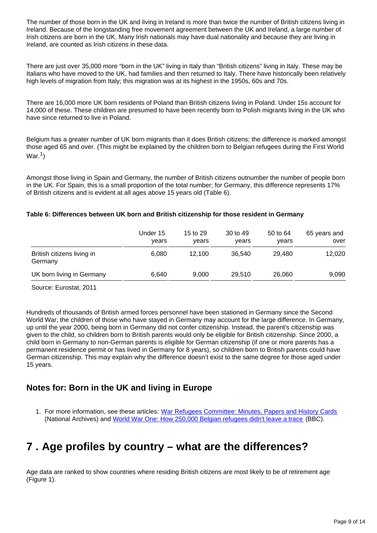The number of those born in the UK and living in Ireland is more than twice the number of British citizens living in Ireland. Because of the longstanding free movement agreement between the UK and Ireland, a large number of Irish citizens are born in the UK. Many Irish nationals may have dual nationality and because they are living in Ireland, are counted as Irish citizens in these data.

There are just over 35,000 more "born in the UK" living in Italy than "British citizens" living in Italy. These may be Italians who have moved to the UK, had families and then returned to Italy. There have historically been relatively high levels of migration from Italy; this migration was at its highest in the 1950s, 60s and 70s.

There are 16,000 more UK born residents of Poland than British citizens living in Poland. Under 15s account for 14,000 of these. These children are presumed to have been recently born to Polish migrants living in the UK who have since returned to live in Poland.

Belgium has a greater number of UK born migrants than it does British citizens; the difference is marked amongst those aged 65 and over. (This might be explained by the children born to Belgian refugees during the First World War. $^1)$ 

Amongst those living in Spain and Germany, the number of British citizens outnumber the number of people born in the UK. For Spain, this is a small proportion of the total number; for Germany, this difference represents 17% of British citizens and is evident at all ages above 15 years old (Table 6).

#### **Table 6: Differences between UK born and British citizenship for those resident in Germany**

|                                       | Under 15<br>vears | 15 to 29<br>vears | 30 to 49<br>years | 50 to 64<br>years | 65 years and<br>over |
|---------------------------------------|-------------------|-------------------|-------------------|-------------------|----------------------|
| British citizens living in<br>Germany | 6.080             | 12.100            | 36.540            | 29.480            | 12,020               |
| UK born living in Germany             | 6.640             | 9,000             | 29.510            | 26,060            | 9,090                |

Source: Eurostat, 2011

Hundreds of thousands of British armed forces personnel have been stationed in Germany since the Second World War, the children of those who have stayed in Germany may account for the large difference. In Germany, up until the year 2000, being born in Germany did not confer citizenship. Instead, the parent's citizenship was given to the child, so children born to British parents would only be eligible for British citizenship. Since 2000, a child born in Germany to non-German parents is eligible for German citizenship (if one or more parents has a permanent residence permit or has lived in Germany for 8 years), so children born to British parents could have German citizenship. This may explain why the difference doesn't exist to the same degree for those aged under 15 years.

### **Notes for: Born in the UK and living in Europe**

1. For more information, see these articles: [War Refugees Committee: Minutes, Papers and History Cards](http://discovery.nationalarchives.gov.uk/details/r/C10851) (National Archives) and [World War One: How 250,000 Belgian refugees didn't leave a trace](http://www.bbc.co.uk/news/magazine-28857769) (BBC).

### <span id="page-8-0"></span>**7 . Age profiles by country – what are the differences?**

Age data are ranked to show countries where residing British citizens are most likely to be of retirement age (Figure 1).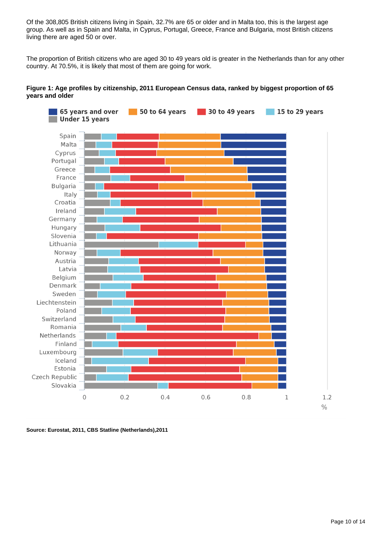Of the 308,805 British citizens living in Spain, 32.7% are 65 or older and in Malta too, this is the largest age group. As well as in Spain and Malta, in Cyprus, Portugal, Greece, France and Bulgaria, most British citizens living there are aged 50 or over.

The proportion of British citizens who are aged 30 to 49 years old is greater in the Netherlands than for any other country. At 70.5%, it is likely that most of them are going for work.

#### **Figure 1: Age profiles by citizenship, 2011 European Census data, ranked by biggest proportion of 65 years and older**



**Source: Eurostat, 2011, CBS Statline (Netherlands),2011**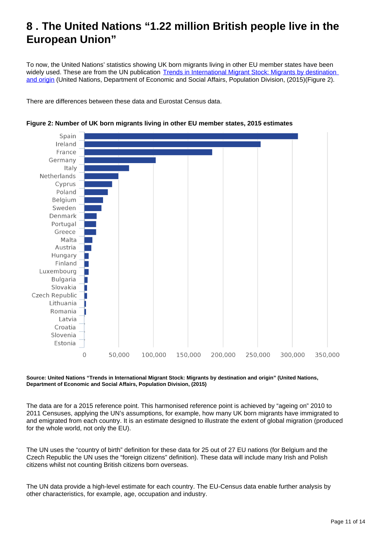### <span id="page-10-0"></span>**8 . The United Nations "1.22 million British people live in the European Union"**

To now, the United Nations' statistics showing UK born migrants living in other EU member states have been widely used. These are from the UN publication Trends in International Migrant Stock: Migrants by destination [and origin](http://www.un.org/en/development/desa/population/migration/data/estimates2/estimates15.shtml) (United Nations, Department of Economic and Social Affairs, Population Division, (2015)(Figure 2).

There are differences between these data and Eurostat Census data.





**Source: United Nations "Trends in International Migrant Stock: Migrants by destination and origin" (United Nations, Department of Economic and Social Affairs, Population Division, (2015)**

The data are for a 2015 reference point. This harmonised reference point is achieved by "ageing on" 2010 to 2011 Censuses, applying the UN's assumptions, for example, how many UK born migrants have immigrated to and emigrated from each country. It is an estimate designed to illustrate the extent of global migration (produced for the whole world, not only the EU).

The UN uses the "country of birth" definition for these data for 25 out of 27 EU nations (for Belgium and the Czech Republic the UN uses the "foreign citizens" definition). These data will include many Irish and Polish citizens whilst not counting British citizens born overseas.

The UN data provide a high-level estimate for each country. The EU-Census data enable further analysis by other characteristics, for example, age, occupation and industry.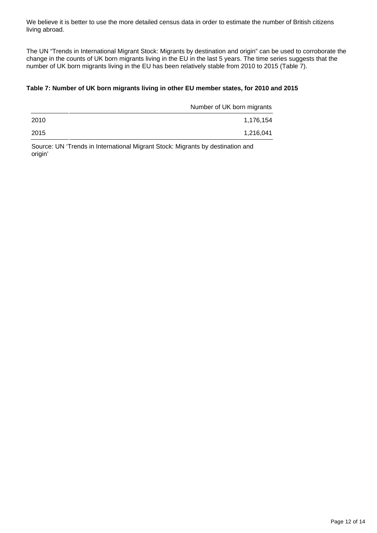We believe it is better to use the more detailed census data in order to estimate the number of British citizens living abroad.

The UN "Trends in International Migrant Stock: Migrants by destination and origin" can be used to corroborate the change in the counts of UK born migrants living in the EU in the last 5 years. The time series suggests that the number of UK born migrants living in the EU has been relatively stable from 2010 to 2015 (Table 7).

#### **Table 7: Number of UK born migrants living in other EU member states, for 2010 and 2015**

|      | Number of UK born migrants |
|------|----------------------------|
| 2010 | 1,176,154                  |
| 2015 | 1,216,041                  |

Source: UN 'Trends in International Migrant Stock: Migrants by destination and origin'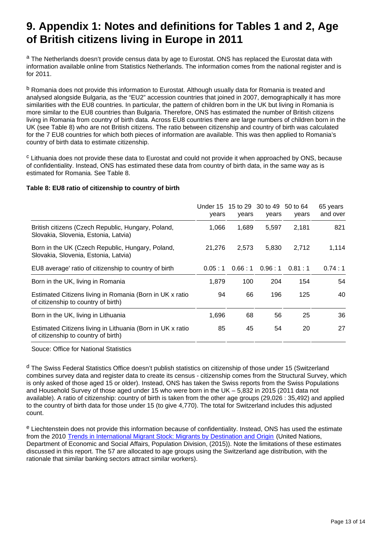# **9. Appendix 1: Notes and definitions for Tables 1 and 2, Age of British citizens living in Europe in 2011**

<sup>a</sup> The Netherlands doesn't provide census data by age to Eurostat. ONS has replaced the Eurostat data with information available online from Statistics Netherlands. The information comes from the national register and is for 2011.

<sup>b</sup> Romania does not provide this information to Eurostat. Although usually data for Romania is treated and analysed alongside Bulgaria, as the "EU2" accession countries that joined in 2007, demographically it has more similarities with the EU8 countries. In particular, the pattern of children born in the UK but living in Romania is more similar to the EU8 countries than Bulgaria. Therefore, ONS has estimated the number of British citizens living in Romania from country of birth data. Across EU8 countries there are large numbers of children born in the UK (see Table 8) who are not British citizens. The ratio between citizenship and country of birth was calculated for the 7 EU8 countries for which both pieces of information are available. This was then applied to Romania's country of birth data to estimate citizenship.

<sup>c</sup> Lithuania does not provide these data to Eurostat and could not provide it when approached by ONS, because of confidentiality. Instead, ONS has estimated these data from country of birth data, in the same way as is estimated for Romania. See Table 8.

#### **Table 8: EU8 ratio of citizenship to country of birth**

|                                                                                                   | Under 15 15 to 29 30 to 49 50 to 64<br>years | years  | years  | years  | 65 years<br>and over |
|---------------------------------------------------------------------------------------------------|----------------------------------------------|--------|--------|--------|----------------------|
| British citizens (Czech Republic, Hungary, Poland,<br>Slovakia, Slovenia, Estonia, Latvia)        | 1,066                                        | 1,689  | 5,597  | 2,181  | 821                  |
| Born in the UK (Czech Republic, Hungary, Poland,<br>Slovakia, Slovenia, Estonia, Latvia)          | 21,276                                       | 2,573  | 5,830  | 2,712  | 1,114                |
| EU8 average' ratio of citizenship to country of birth                                             | 0.05:1                                       | 0.66:1 | 0.96:1 | 0.81:1 | 0.74:1               |
| Born in the UK, living in Romania                                                                 | 1,879                                        | 100    | 204    | 154    | 54                   |
| Estimated Citizens living in Romania (Born in UK x ratio<br>of citizenship to country of birth)   | 94                                           | 66     | 196    | 125    | 40                   |
| Born in the UK, living in Lithuania                                                               | 1,696                                        | 68     | 56     | 25     | 36                   |
| Estimated Citizens living in Lithuania (Born in UK x ratio<br>of citizenship to country of birth) | 85                                           | 45     | 54     | 20     | 27                   |

Souce: Office for National Statistics

<sup>d</sup> The Swiss Federal Statistics Office doesn't publish statistics on citizenship of those under 15 (Switzerland combines survey data and register data to create its census - citizenship comes from the Structural Survey, which is only asked of those aged 15 or older). Instead, ONS has taken the Swiss reports from the Swiss Populations and Household Survey of those aged under 15 who were born in the UK – 5,832 in 2015 (2011 data not available). A ratio of citizenship: country of birth is taken from the other age groups (29,026 : 35,492) and applied to the country of birth data for those under 15 (to give 4,770). The total for Switzerland includes this adjusted count.

<sup>e</sup> Liechtenstein does not provide this information because of confidentiality. Instead, ONS has used the estimate from the 2010 [Trends in International Migrant Stock: Migrants by Destination and Origin](http://www.un.org/en/development/desa/population/migration/data/estimates2/estimates15.shtml) (United Nations, Department of Economic and Social Affairs, Population Division, (2015)). Note the limitations of these estimates discussed in this report. The 57 are allocated to age groups using the Switzerland age distribution, with the rationale that similar banking sectors attract similar workers).